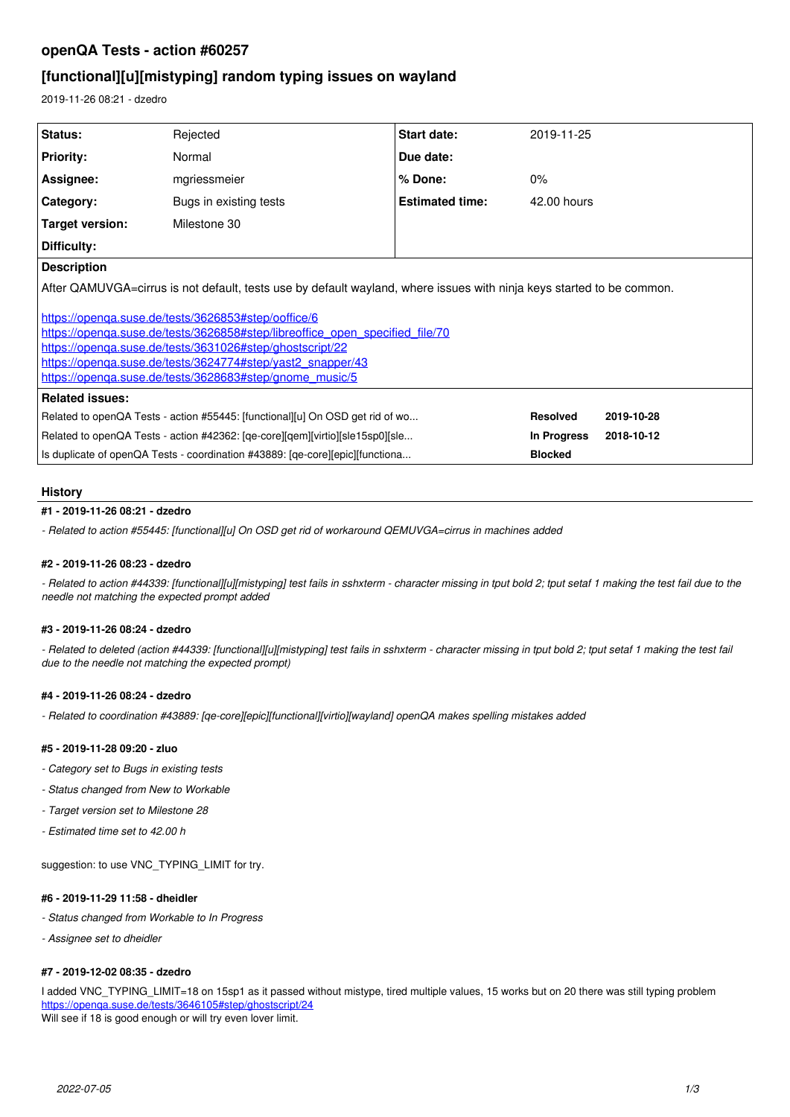# **openQA Tests - action #60257**

# **[functional][u][mistyping] random typing issues on wayland**

2019-11-26 08:21 - dzedro

| <b>Status:</b>                                                                                                        | Rejected               | Start date:            | 2019-11-25      |            |
|-----------------------------------------------------------------------------------------------------------------------|------------------------|------------------------|-----------------|------------|
| <b>Priority:</b>                                                                                                      | Normal                 | Due date:              |                 |            |
| Assignee:                                                                                                             | mgriessmeier           | % Done:                | $0\%$           |            |
| Category:                                                                                                             | Bugs in existing tests | <b>Estimated time:</b> | 42.00 hours     |            |
| Target version:                                                                                                       | Milestone 30           |                        |                 |            |
| Difficulty:                                                                                                           |                        |                        |                 |            |
| <b>Description</b>                                                                                                    |                        |                        |                 |            |
| After QAMUVGA=cirrus is not default, tests use by default wayland, where issues with ninja keys started to be common. |                        |                        |                 |            |
| https://openga.suse.de/tests/3626853#step/ooffice/6                                                                   |                        |                        |                 |            |
| https://openga.suse.de/tests/3626858#step/libreoffice_open_specified_file/70                                          |                        |                        |                 |            |
| https://openga.suse.de/tests/3631026#step/ghostscript/22                                                              |                        |                        |                 |            |
| https://openga.suse.de/tests/3624774#step/yast2_snapper/43                                                            |                        |                        |                 |            |
| https://openga.suse.de/tests/3628683#step/gnome_music/5                                                               |                        |                        |                 |            |
| <b>Related issues:</b>                                                                                                |                        |                        |                 |            |
| Related to openQA Tests - action #55445: [functional][u] On OSD get rid of wo                                         |                        |                        | <b>Resolved</b> | 2019-10-28 |
| Related to openQA Tests - action #42362: [qe-core][qem][virtio][sle15sp0][sle                                         |                        |                        | In Progress     | 2018-10-12 |
| Is duplicate of openQA Tests - coordination #43889: [qe-core][epic][functiona                                         |                        |                        | <b>Blocked</b>  |            |
|                                                                                                                       |                        |                        |                 |            |

## **History**

## **#1 - 2019-11-26 08:21 - dzedro**

*- Related to action #55445: [functional][u] On OSD get rid of workaround QEMUVGA=cirrus in machines added*

## **#2 - 2019-11-26 08:23 - dzedro**

*- Related to action #44339: [functional][u][mistyping] test fails in sshxterm - character missing in tput bold 2; tput setaf 1 making the test fail due to the needle not matching the expected prompt added*

## **#3 - 2019-11-26 08:24 - dzedro**

*- Related to deleted (action #44339: [functional][u][mistyping] test fails in sshxterm - character missing in tput bold 2; tput setaf 1 making the test fail due to the needle not matching the expected prompt)*

## **#4 - 2019-11-26 08:24 - dzedro**

*- Related to coordination #43889: [qe-core][epic][functional][virtio][wayland] openQA makes spelling mistakes added*

## **#5 - 2019-11-28 09:20 - zluo**

- *Category set to Bugs in existing tests*
- *Status changed from New to Workable*
- *Target version set to Milestone 28*
- *Estimated time set to 42.00 h*

suggestion: to use VNC\_TYPING\_LIMIT for try.

## **#6 - 2019-11-29 11:58 - dheidler**

- *Status changed from Workable to In Progress*
- *Assignee set to dheidler*

## **#7 - 2019-12-02 08:35 - dzedro**

I added VNC\_TYPING\_LIMIT=18 on 15sp1 as it passed without mistype, tired multiple values, 15 works but on 20 there was still typing problem <https://openqa.suse.de/tests/3646105#step/ghostscript/24> Will see if 18 is good enough or will try even lover limit.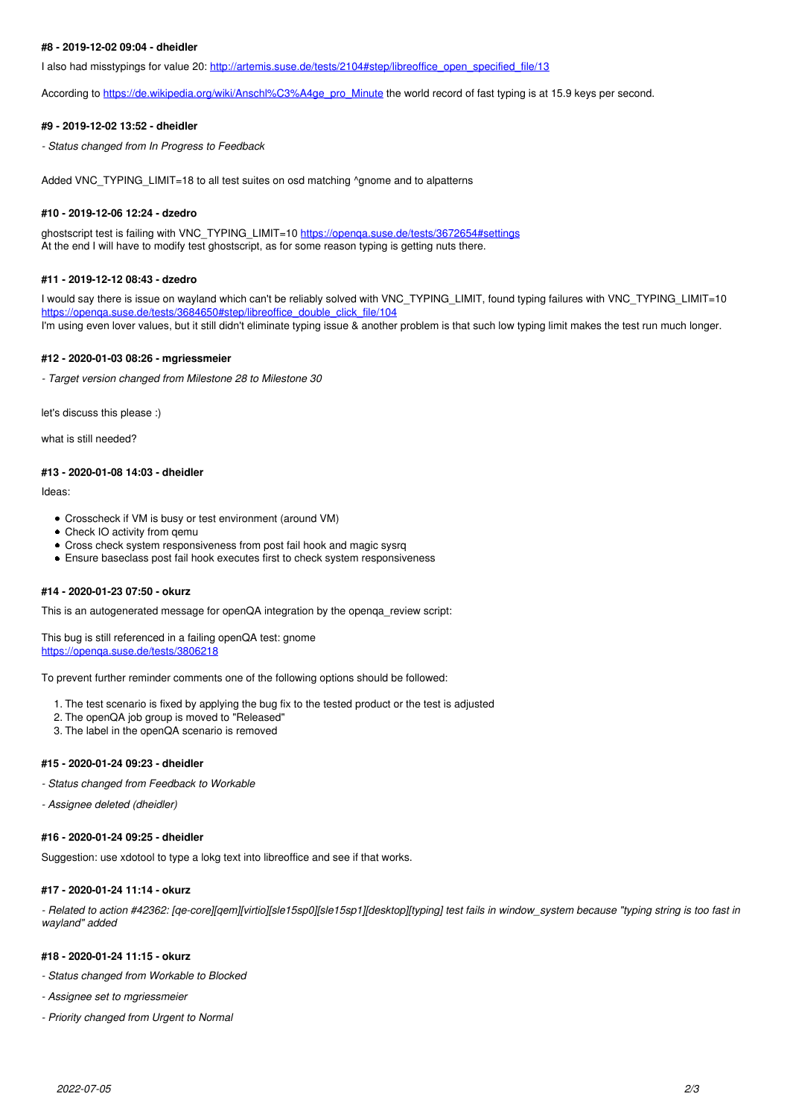### **#8 - 2019-12-02 09:04 - dheidler**

I also had misstypings for value 20: [http://artemis.suse.de/tests/2104#step/libreoffice\\_open\\_specified\\_file/13](http://artemis.suse.de/tests/2104#step/libreoffice_open_specified_file/13)

According to [https://de.wikipedia.org/wiki/Anschl%C3%A4ge\\_pro\\_Minute](https://de.wikipedia.org/wiki/Anschl%C3%A4ge_pro_Minute) the world record of fast typing is at 15.9 keys per second.

#### **#9 - 2019-12-02 13:52 - dheidler**

*- Status changed from In Progress to Feedback*

Added VNC\_TYPING\_LIMIT=18 to all test suites on osd matching ^gnome and to alpatterns

#### **#10 - 2019-12-06 12:24 - dzedro**

ghostscript test is failing with VNC\_TYPING\_LIMIT=10 <https://openqa.suse.de/tests/3672654#settings> At the end I will have to modify test ghostscript, as for some reason typing is getting nuts there.

### **#11 - 2019-12-12 08:43 - dzedro**

I would say there is issue on wayland which can't be reliably solved with VNC\_TYPING\_LIMIT, found typing failures with VNC\_TYPING\_LIMIT=10 [https://openqa.suse.de/tests/3684650#step/libreoffice\\_double\\_click\\_file/104](https://openqa.suse.de/tests/3684650#step/libreoffice_double_click_file/104) I'm using even lover values, but it still didn't eliminate typing issue & another problem is that such low typing limit makes the test run much longer.

#### **#12 - 2020-01-03 08:26 - mgriessmeier**

*- Target version changed from Milestone 28 to Milestone 30*

let's discuss this please :)

what is still needed?

#### **#13 - 2020-01-08 14:03 - dheidler**

Ideas:

- Crosscheck if VM is busy or test environment (around VM)
- Check IO activity from qemu
- Cross check system responsiveness from post fail hook and magic sysrq
- Ensure baseclass post fail hook executes first to check system responsiveness

#### **#14 - 2020-01-23 07:50 - okurz**

This is an autogenerated message for openQA integration by the openga\_review script:

This bug is still referenced in a failing openQA test: gnome <https://openqa.suse.de/tests/3806218>

To prevent further reminder comments one of the following options should be followed:

- 1. The test scenario is fixed by applying the bug fix to the tested product or the test is adjusted
- 2. The openQA job group is moved to "Released"
- 3. The label in the openQA scenario is removed

## **#15 - 2020-01-24 09:23 - dheidler**

- *Status changed from Feedback to Workable*
- *Assignee deleted (dheidler)*

### **#16 - 2020-01-24 09:25 - dheidler**

Suggestion: use xdotool to type a lokg text into libreoffice and see if that works.

#### **#17 - 2020-01-24 11:14 - okurz**

*- Related to action #42362: [qe-core][qem][virtio][sle15sp0][sle15sp1][desktop][typing] test fails in window\_system because "typing string is too fast in wayland" added*

#### **#18 - 2020-01-24 11:15 - okurz**

- *Status changed from Workable to Blocked*
- *Assignee set to mgriessmeier*
- *Priority changed from Urgent to Normal*